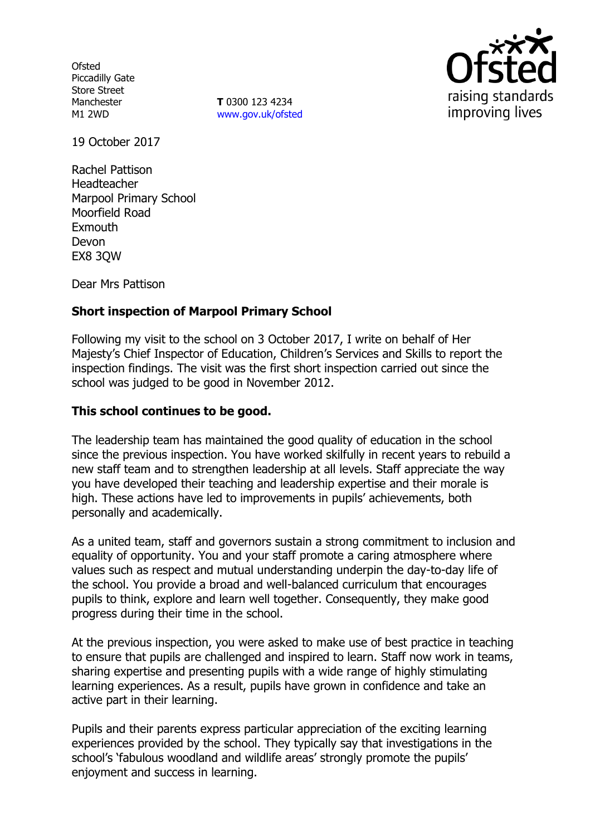**Ofsted** Piccadilly Gate Store Street Manchester M1 2WD

**T** 0300 123 4234 www.gov.uk/ofsted



19 October 2017

Rachel Pattison Headteacher Marpool Primary School Moorfield Road Exmouth Devon EX8 3QW

Dear Mrs Pattison

## **Short inspection of Marpool Primary School**

Following my visit to the school on 3 October 2017, I write on behalf of Her Majesty's Chief Inspector of Education, Children's Services and Skills to report the inspection findings. The visit was the first short inspection carried out since the school was judged to be good in November 2012.

### **This school continues to be good.**

The leadership team has maintained the good quality of education in the school since the previous inspection. You have worked skilfully in recent years to rebuild a new staff team and to strengthen leadership at all levels. Staff appreciate the way you have developed their teaching and leadership expertise and their morale is high. These actions have led to improvements in pupils' achievements, both personally and academically.

As a united team, staff and governors sustain a strong commitment to inclusion and equality of opportunity. You and your staff promote a caring atmosphere where values such as respect and mutual understanding underpin the day-to-day life of the school. You provide a broad and well-balanced curriculum that encourages pupils to think, explore and learn well together. Consequently, they make good progress during their time in the school.

At the previous inspection, you were asked to make use of best practice in teaching to ensure that pupils are challenged and inspired to learn. Staff now work in teams, sharing expertise and presenting pupils with a wide range of highly stimulating learning experiences. As a result, pupils have grown in confidence and take an active part in their learning.

Pupils and their parents express particular appreciation of the exciting learning experiences provided by the school. They typically say that investigations in the school's 'fabulous woodland and wildlife areas' strongly promote the pupils' enjoyment and success in learning.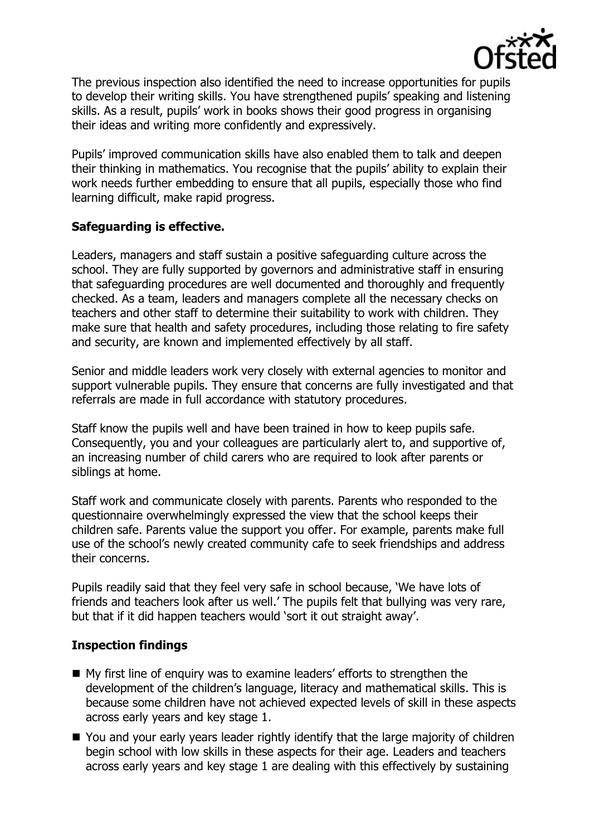

The previous inspection also identified the need to increase opportunities for pupils to develop their writing skills. You have strengthened pupils' speaking and listening skills. As a result, pupils' work in books shows their good progress in organising their ideas and writing more confidently and expressively.

Pupils' improved communication skills have also enabled them to talk and deepen their thinking in mathematics. You recognise that the pupils' ability to explain their work needs further embedding to ensure that all pupils, especially those who find learning difficult, make rapid progress.

## **Safeguarding is effective.**

Leaders, managers and staff sustain a positive safeguarding culture across the school. They are fully supported by governors and administrative staff in ensuring that safeguarding procedures are well documented and thoroughly and frequently checked. As a team, leaders and managers complete all the necessary checks on teachers and other staff to determine their suitability to work with children. They make sure that health and safety procedures, including those relating to fire safety and security, are known and implemented effectively by all staff.

Senior and middle leaders work very closely with external agencies to monitor and support vulnerable pupils. They ensure that concerns are fully investigated and that referrals are made in full accordance with statutory procedures.

Staff know the pupils well and have been trained in how to keep pupils safe. Consequently, you and your colleagues are particularly alert to, and supportive of, an increasing number of child carers who are required to look after parents or siblings at home.

Staff work and communicate closely with parents. Parents who responded to the questionnaire overwhelmingly expressed the view that the school keeps their children safe. Parents value the support you offer. For example, parents make full use of the school's newly created community cafe to seek friendships and address their concerns.

Pupils readily said that they feel very safe in school because, 'We have lots of friends and teachers look after us well.' The pupils felt that bullying was very rare, but that if it did happen teachers would 'sort it out straight away'.

# **Inspection findings**

- My first line of enquiry was to examine leaders' efforts to strengthen the development of the children's language, literacy and mathematical skills. This is because some children have not achieved expected levels of skill in these aspects across early years and key stage 1.
- You and your early years leader rightly identify that the large majority of children begin school with low skills in these aspects for their age. Leaders and teachers across early years and key stage 1 are dealing with this effectively by sustaining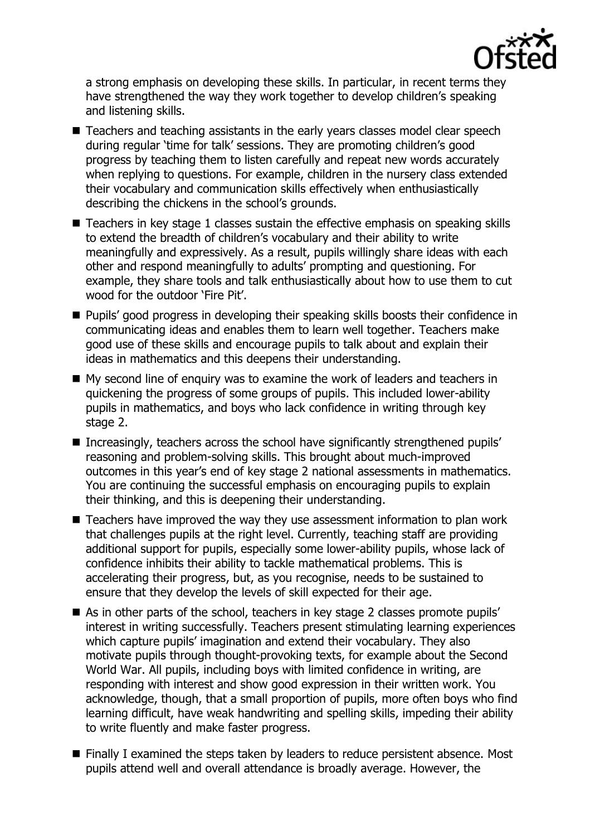

a strong emphasis on developing these skills. In particular, in recent terms they have strengthened the way they work together to develop children's speaking and listening skills.

- Teachers and teaching assistants in the early years classes model clear speech during regular 'time for talk' sessions. They are promoting children's good progress by teaching them to listen carefully and repeat new words accurately when replying to questions. For example, children in the nursery class extended their vocabulary and communication skills effectively when enthusiastically describing the chickens in the school's grounds.
- Teachers in key stage 1 classes sustain the effective emphasis on speaking skills to extend the breadth of children's vocabulary and their ability to write meaningfully and expressively. As a result, pupils willingly share ideas with each other and respond meaningfully to adults' prompting and questioning. For example, they share tools and talk enthusiastically about how to use them to cut wood for the outdoor 'Fire Pit'.
- **Pupils'** good progress in developing their speaking skills boosts their confidence in communicating ideas and enables them to learn well together. Teachers make good use of these skills and encourage pupils to talk about and explain their ideas in mathematics and this deepens their understanding.
- My second line of enquiry was to examine the work of leaders and teachers in quickening the progress of some groups of pupils. This included lower-ability pupils in mathematics, and boys who lack confidence in writing through key stage 2.
- Increasingly, teachers across the school have significantly strengthened pupils' reasoning and problem-solving skills. This brought about much-improved outcomes in this year's end of key stage 2 national assessments in mathematics. You are continuing the successful emphasis on encouraging pupils to explain their thinking, and this is deepening their understanding.
- Teachers have improved the way they use assessment information to plan work that challenges pupils at the right level. Currently, teaching staff are providing additional support for pupils, especially some lower-ability pupils, whose lack of confidence inhibits their ability to tackle mathematical problems. This is accelerating their progress, but, as you recognise, needs to be sustained to ensure that they develop the levels of skill expected for their age.
- As in other parts of the school, teachers in key stage 2 classes promote pupils' interest in writing successfully. Teachers present stimulating learning experiences which capture pupils' imagination and extend their vocabulary. They also motivate pupils through thought-provoking texts, for example about the Second World War. All pupils, including boys with limited confidence in writing, are responding with interest and show good expression in their written work. You acknowledge, though, that a small proportion of pupils, more often boys who find learning difficult, have weak handwriting and spelling skills, impeding their ability to write fluently and make faster progress.
- Finally I examined the steps taken by leaders to reduce persistent absence. Most pupils attend well and overall attendance is broadly average. However, the